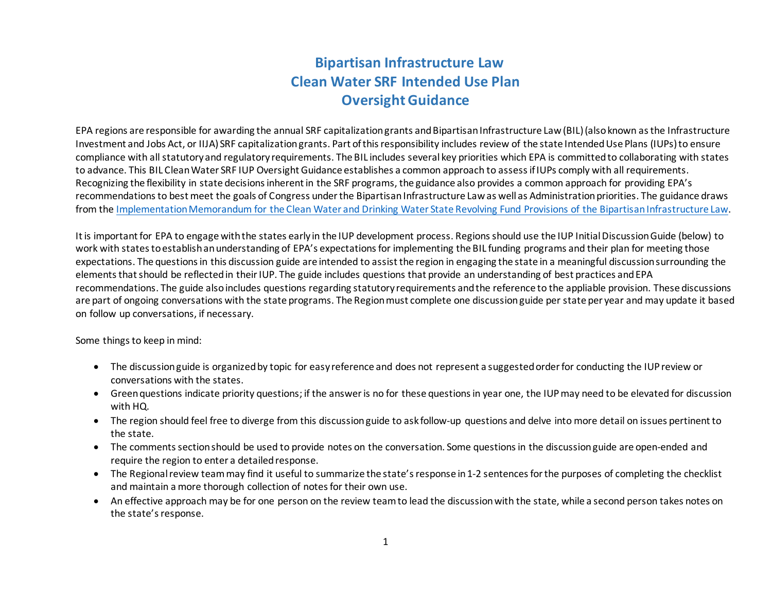## **Bipartisan Infrastructure Law Clean Water SRF Intended Use Plan Oversight Guidance**

EPA regions are responsible for awarding the annual SRF capitalization grants and Bipartisan Infrastructure Law (BIL)(also known as the Infrastructure Investment and Jobs Act, or IIJA) SRF capitalization grants. Part of this responsibility includes review of the state Intended Use Plans (IUPs)to ensure compliance with all statutory and regulatory requirements. The BIL includes several key priorities which EPA is committed to collaborating with states to advance. This BIL Clean Water SRF IUP Oversight Guidance establishes a common approach to assess if IUPs comply with all requirements. Recognizing the flexibility in state decisions inherent in the SRF programs, the guidance also provides a common approach for providing EPA's recommendations to best meet the goals of Congress under the Bipartisan Infrastructure Lawas well as Administration priorities. The guidance draws from the [Implementation Memorandum for the Clean Water and Drinking Water State Revolving Fund Provisions of the Bipartisan Infrastructure Law](https://www.epa.gov/system/files/documents/2022-03/combined_srf-implementation-memo_final_03.2022.pdf).

It is important for EPA to engage with the states early in the IUP development process. Regions should use the IUP Initial Discussion Guide (below) to work with states to establish an understanding of EPA's expectations for implementing the BIL funding programs and their plan for meeting those expectations. The questions in this discussion guide are intended to assist the region in engaging the state in a meaningful discussion surrounding the elements that should be reflected in their IUP. The guide includes questions that provide an understanding of best practices and EPA recommendations. The guide also includes questions regarding statutory requirements and the reference to the appliable provision. These discussions are part of ongoing conversations with the state programs. The Region must complete one discussion guide per state per year and may update it based on follow up conversations, if necessary.

Some things to keep in mind:

- The discussion guide is organized by topic for easy reference and does not represent a suggested order for conducting the IUP review or conversations with the states.
- Green questions indicate priority questions; if the answer is no for these questions in year one, the IUP may need to be elevated for discussion with HQ.
- The region should feel free to diverge from this discussion guide to ask follow-up questions and delve into more detail on issues pertinent to the state.
- The comments section should be used to provide notes on the conversation. Some questions in the discussion guide are open-ended and require the region to enter a detailed response.
- The Regional review team may find it useful to summarize the state's response in 1-2 sentences for the purposes of completing the checklist and maintain a more thorough collection of notes for their own use.
- An effective approach may be for one person on the review team to lead the discussion with the state, while a second person takes notes on the state's response.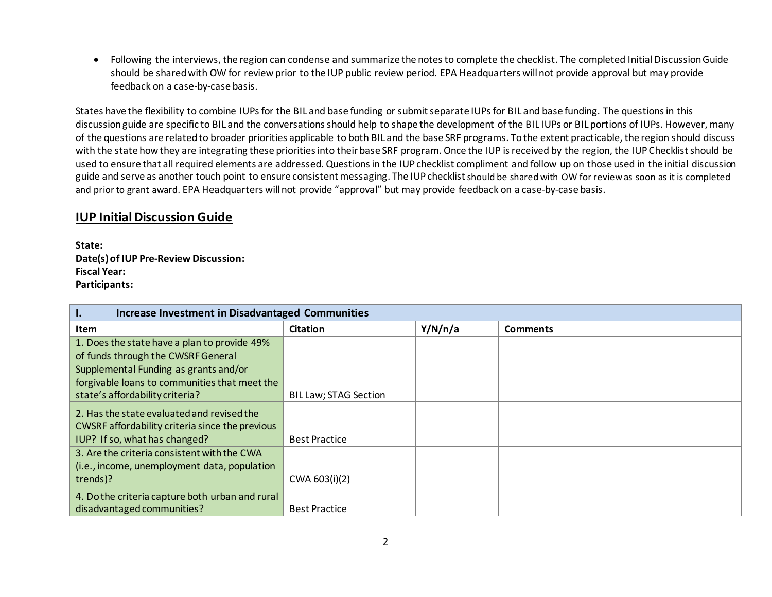• Following the interviews, the region can condense and summarize the notes to complete the checklist. The completed Initial Discussion Guide should be shared with OW for review prior to the IUP public review period. EPA Headquarters will not provide approval but may provide feedback on a case-by-case basis.

States have the flexibility to combine IUPs for the BIL and base funding or submit separate IUPs for BIL and base funding. The questions in this discussion guide are specific to BIL and the conversations should help to shape the development of the BIL IUPs or BIL portions of IUPs. However, many of the questions are related to broader priorities applicable to both BIL and the base SRF programs. To the extent practicable, the region should discuss with the state how they are integrating these priorities into their base SRF program. Once the IUP is received by the region, the IUP Checklist should be used to ensure that all required elements are addressed. Questions in the IUP checklist compliment and follow up on those used in the initial discussion guide and serve as another touch point to ensure consistent messaging. The IUP checklist should be shared with OW for reviewas soon as it is completed and prior to grant award. EPA Headquarters will not provide "approval" but may provide feedback on a case-by-case basis.

## **IUP Initial Discussion Guide**

**State: Date(s) of IUP Pre-Review Discussion: Fiscal Year: Participants:** 

| Π.<br><b>Increase Investment in Disadvantaged Communities</b> |                              |         |                 |
|---------------------------------------------------------------|------------------------------|---------|-----------------|
| <b>Item</b>                                                   | <b>Citation</b>              | Y/N/n/a | <b>Comments</b> |
| 1. Does the state have a plan to provide 49%                  |                              |         |                 |
| of funds through the CWSRF General                            |                              |         |                 |
| Supplemental Funding as grants and/or                         |                              |         |                 |
| forgivable loans to communities that meet the                 |                              |         |                 |
| state's affordability criteria?                               | <b>BIL Law; STAG Section</b> |         |                 |
| 2. Has the state evaluated and revised the                    |                              |         |                 |
| CWSRF affordability criteria since the previous               |                              |         |                 |
| IUP? If so, what has changed?                                 | <b>Best Practice</b>         |         |                 |
| 3. Are the criteria consistent with the CWA                   |                              |         |                 |
| (i.e., income, unemployment data, population                  |                              |         |                 |
| trends)?                                                      | CWA 603(i)(2)                |         |                 |
| 4. Do the criteria capture both urban and rural               |                              |         |                 |
| disadvantaged communities?                                    | <b>Best Practice</b>         |         |                 |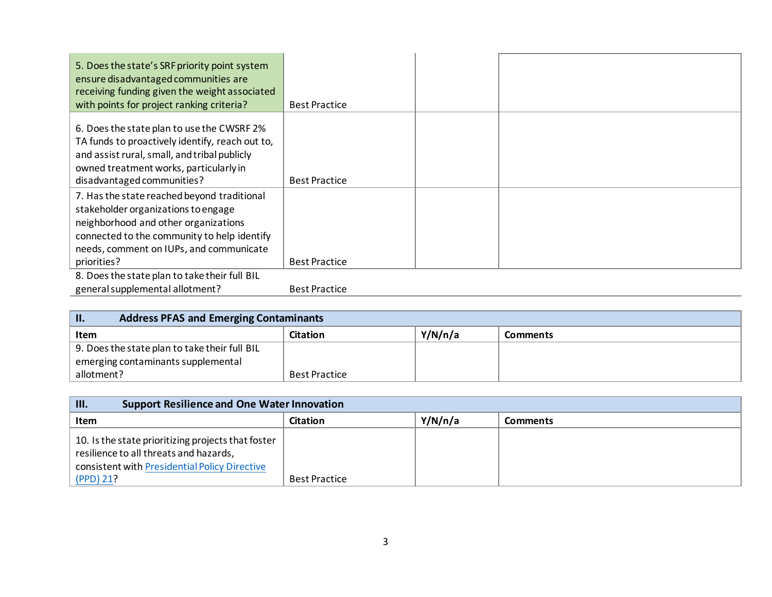| 5. Does the state's SRF priority point system<br>ensure disadvantaged communities are<br>receiving funding given the weight associated<br>with points for project ranking criteria?                                                 | <b>Best Practice</b> |  |
|-------------------------------------------------------------------------------------------------------------------------------------------------------------------------------------------------------------------------------------|----------------------|--|
| 6. Does the state plan to use the CWSRF 2%<br>TA funds to proactively identify, reach out to,<br>and assist rural, small, and tribal publicly<br>owned treatment works, particularly in<br>disadvantaged communities?               | <b>Best Practice</b> |  |
| 7. Has the state reached beyond traditional<br>stakeholder organizations to engage<br>neighborhood and other organizations<br>connected to the community to help identify<br>needs, comment on IUPs, and communicate<br>priorities? | <b>Best Practice</b> |  |
| 8. Does the state plan to take their full BIL<br>general supplemental allotment?                                                                                                                                                    | <b>Best Practice</b> |  |

| <b>W</b><br><b>Address PFAS and Emerging Contaminants</b> |                      |         |                 |
|-----------------------------------------------------------|----------------------|---------|-----------------|
| <b>Item</b>                                               | Citation             | Y/N/n/a | <b>Comments</b> |
| 9. Does the state plan to take their full BIL             |                      |         |                 |
| emerging contaminants supplemental                        |                      |         |                 |
| allotment?                                                | <b>Best Practice</b> |         |                 |

| III.<br><b>Support Resilience and One Water Innovation</b>                                                                                                   |                      |         |                 |
|--------------------------------------------------------------------------------------------------------------------------------------------------------------|----------------------|---------|-----------------|
| Item                                                                                                                                                         | Citation             | Y/N/n/a | <b>Comments</b> |
| 10. Is the state prioritizing projects that foster<br>resilience to all threats and hazards,<br>consistent with Presidential Policy Directive<br>$(PPD)$ 21? | <b>Best Practice</b> |         |                 |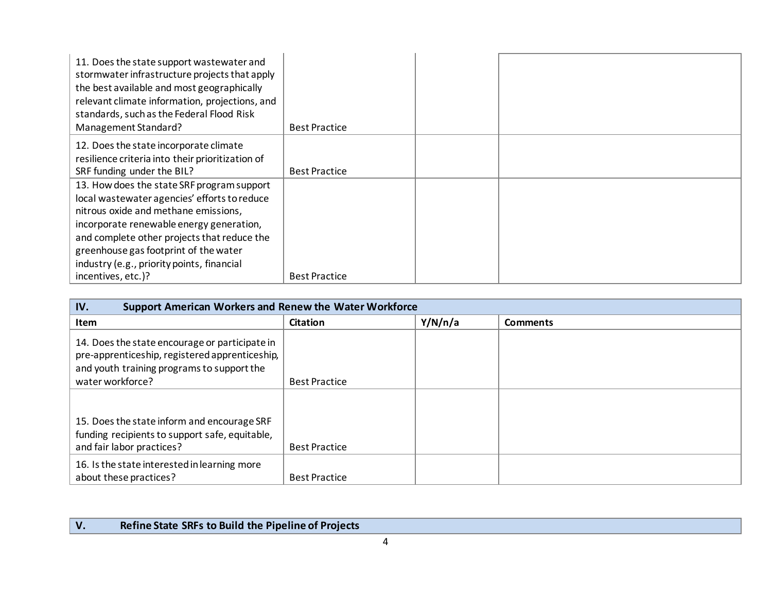| 11. Does the state support wastewater and<br>stormwater infrastructure projects that apply<br>the best available and most geographically<br>relevant climate information, projections, and<br>standards, such as the Federal Flood Risk<br>Management Standard?                                                      | <b>Best Practice</b> |  |
|----------------------------------------------------------------------------------------------------------------------------------------------------------------------------------------------------------------------------------------------------------------------------------------------------------------------|----------------------|--|
| 12. Does the state incorporate climate<br>resilience criteria into their prioritization of<br>SRF funding under the BIL?                                                                                                                                                                                             | <b>Best Practice</b> |  |
| 13. How does the state SRF program support<br>local wastewater agencies' efforts to reduce<br>nitrous oxide and methane emissions,<br>incorporate renewable energy generation,<br>and complete other projects that reduce the<br>greenhouse gas footprint of the water<br>industry (e.g., priority points, financial |                      |  |
| incentives, etc.)?                                                                                                                                                                                                                                                                                                   | <b>Best Practice</b> |  |

| IV.<br><b>Support American Workers and Renew the Water Workforce</b>                                                                           |                      |         |                 |
|------------------------------------------------------------------------------------------------------------------------------------------------|----------------------|---------|-----------------|
| <b>Item</b>                                                                                                                                    | <b>Citation</b>      | Y/N/n/a | <b>Comments</b> |
| 14. Does the state encourage or participate in<br>pre-apprenticeship, registered apprenticeship,<br>and youth training programs to support the |                      |         |                 |
| water workforce?                                                                                                                               | <b>Best Practice</b> |         |                 |
| 15. Does the state inform and encourage SRF<br>funding recipients to support safe, equitable,<br>and fair labor practices?                     | <b>Best Practice</b> |         |                 |
| 16. Is the state interested in learning more<br>about these practices?                                                                         | <b>Best Practice</b> |         |                 |

## **V. Refine State SRFs to Build the Pipeline of Projects**